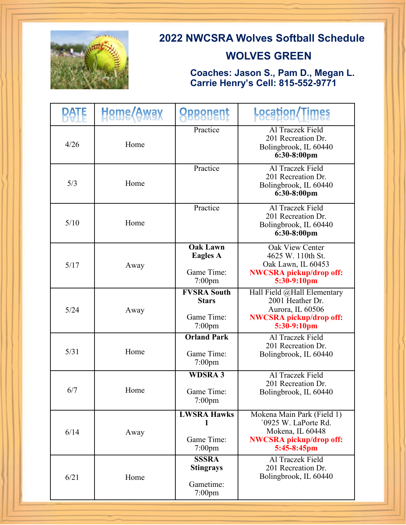

## **2022 NWCSRA Wolves Softball Schedule**

## **WOLVES GREEN**

 **Coaches: Jason S., Pam D., Megan L. Carrie Henry's Cell: 815-552-9771**

|      | Heme <i>(Away</i> | <b><i><u>Opponent</u></i></b>                                 | <b>Location/Times</b>                                                                                                   |
|------|-------------------|---------------------------------------------------------------|-------------------------------------------------------------------------------------------------------------------------|
| 4/26 | Home              | Practice                                                      | Al Traczek Field<br>201 Recreation Dr.<br>Bolingbrook, IL 60440<br>$6:30-8:00$ pm                                       |
| 5/3  | Home              | Practice                                                      | Al Traczek Field<br>201 Recreation Dr.<br>Bolingbrook, IL 60440<br>6:30-8:00pm                                          |
| 5/10 | Home              | Practice                                                      | Al Traczek Field<br>201 Recreation Dr.<br>Bolingbrook, IL 60440<br>6:30-8:00pm                                          |
| 5/17 | Away              | <b>Oak Lawn</b><br><b>Eagles A</b><br>Game Time:<br>$7:00$ pm | Oak View Center<br>4625 W. 110th St.<br>Oak Lawn, IL 60453<br><b>NWCSRA</b> pickup/drop off:<br>5:30-9:10pm             |
| 5/24 | Away              | <b>FVSRA South</b><br><b>Stars</b><br>Game Time:<br>$7:00$ pm | Hall Field @Hall Elementary<br>2001 Heather Dr.<br>Aurora, IL 60506<br><b>NWCSRA</b> pickup/drop off:<br>5:30-9:10pm    |
| 5/31 | Home              | <b>Orland Park</b><br>Game Time:<br>$7:00$ pm                 | Al Traczek Field<br>201 Recreation Dr.<br>Bolingbrook, IL 60440                                                         |
| 6/7  | Home              | <b>WDSRA3</b><br>Game Time:<br>7:00pm                         | Al Traczek Field<br>201 Recreation Dr.<br>Bolingbrook, IL 60440                                                         |
| 6/14 | Away              | <b>LWSRA Hawks</b><br>1<br>Game Time:<br>$7:00$ pm            | Mokena Main Park (Field 1)<br>'0925 W. LaPorte Rd.<br>Mokena, IL 60448<br><b>NWCSRA</b> pickup/drop off:<br>5:45-8:45pm |
| 6/21 | Home              | <b>SSSRA</b><br><b>Stingrays</b><br>Gametime:<br>$7:00$ pm    | Al Traczek Field<br>201 Recreation Dr.<br>Bolingbrook, IL 60440                                                         |